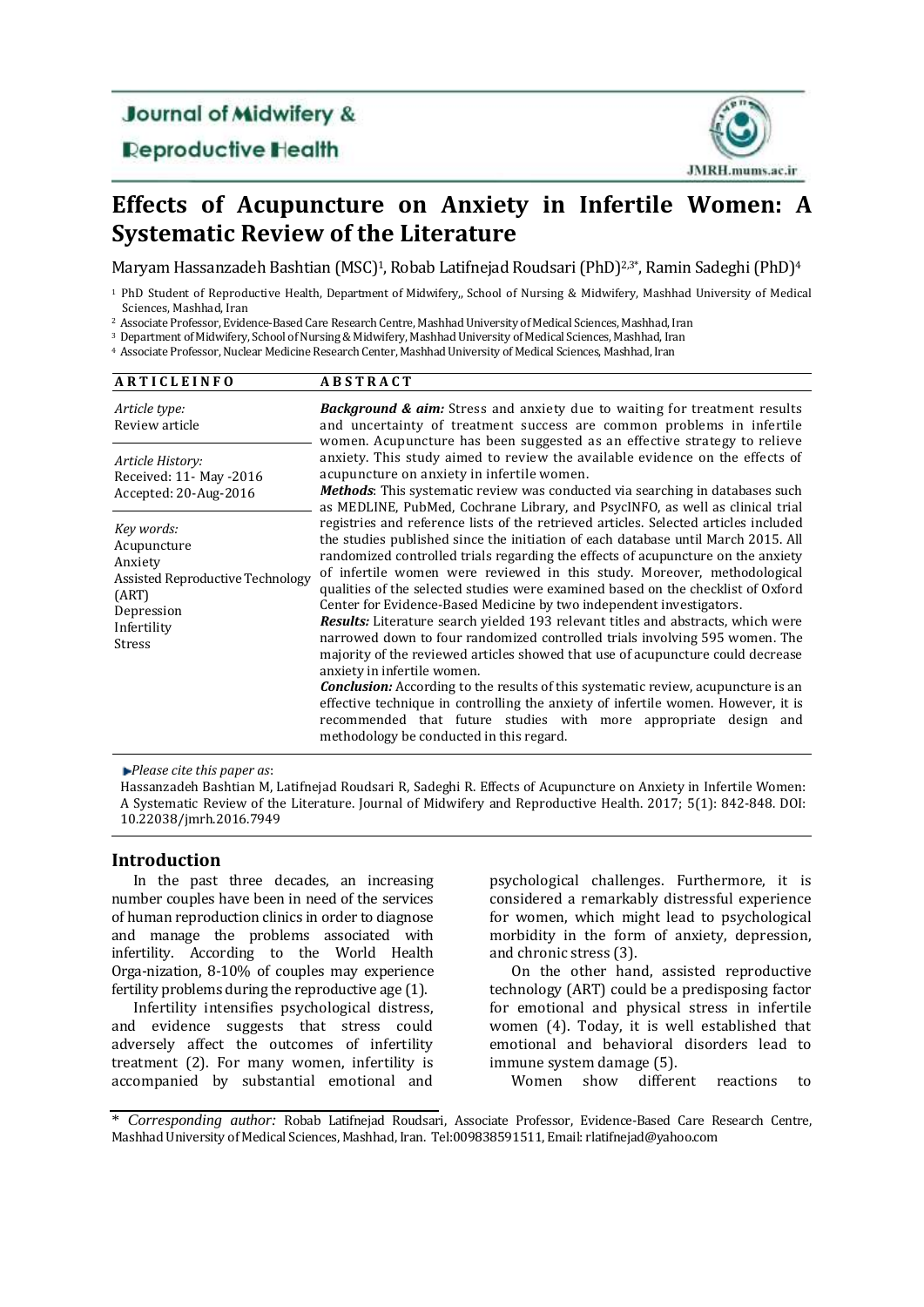# **Journal of Midwifery &**

**Deproductive Health** 



# **Effects of Acupuncture on Anxiety in Infertile Women: A Systematic Review of the Literature**

Maryam Hassanzadeh Bashtian (MSC)<sup>1</sup>, Robab Latifnejad Roudsari (PhD)<sup>2,3\*</sup>, Ramin Sadeghi (PhD)<sup>4</sup>

<sup>1</sup> PhD Student of Reproductive Health, Department of Midwifery,, School of Nursing & Midwifery, Mashhad University of Medical Sciences, Mashhad, Iran

<sup>2</sup> Associate Professor, Evidence-Based Care Research Centre, Mashhad University of Medical Sciences, Mashhad, Iran

<sup>3</sup> Department of Midwifery, School of Nursing & Midwifery, Mashhad University of Medical Sciences, Mashhad, Iran

<sup>4</sup> Associate Professor, Nuclear Medicine Research Center, Mashhad University of Medical Sciences, Mashhad, Iran

| <b>ARTICLEINFO</b>                                                                                                              | <b>ABSTRACT</b>                                                                                                                                                                                                                                                                                                                                                                                                                                                                                                                                                                                                                                                                                                                                                                                                                                                                                                                                                                                                                                                                                                                                                                                                                                                                                                                                                                                                                                                                                                                                                                                                                                          |
|---------------------------------------------------------------------------------------------------------------------------------|----------------------------------------------------------------------------------------------------------------------------------------------------------------------------------------------------------------------------------------------------------------------------------------------------------------------------------------------------------------------------------------------------------------------------------------------------------------------------------------------------------------------------------------------------------------------------------------------------------------------------------------------------------------------------------------------------------------------------------------------------------------------------------------------------------------------------------------------------------------------------------------------------------------------------------------------------------------------------------------------------------------------------------------------------------------------------------------------------------------------------------------------------------------------------------------------------------------------------------------------------------------------------------------------------------------------------------------------------------------------------------------------------------------------------------------------------------------------------------------------------------------------------------------------------------------------------------------------------------------------------------------------------------|
| Article type:<br>Review article                                                                                                 | <b>Background &amp; aim:</b> Stress and anxiety due to waiting for treatment results<br>and uncertainty of treatment success are common problems in infertile<br>women. Acupuncture has been suggested as an effective strategy to relieve<br>anxiety. This study aimed to review the available evidence on the effects of<br>acupuncture on anxiety in infertile women.<br><b>Methods</b> : This systematic review was conducted via searching in databases such<br>as MEDLINE, PubMed, Cochrane Library, and PsycINFO, as well as clinical trial<br>registries and reference lists of the retrieved articles. Selected articles included<br>the studies published since the initiation of each database until March 2015. All<br>randomized controlled trials regarding the effects of acupuncture on the anxiety<br>of infertile women were reviewed in this study. Moreover, methodological<br>qualities of the selected studies were examined based on the checklist of Oxford<br>Center for Evidence-Based Medicine by two independent investigators.<br><b>Results:</b> Literature search yielded 193 relevant titles and abstracts, which were<br>narrowed down to four randomized controlled trials involving 595 women. The<br>majority of the reviewed articles showed that use of acupuncture could decrease<br>anxiety in infertile women.<br><b>Conclusion:</b> According to the results of this systematic review, acupuncture is an<br>effective technique in controlling the anxiety of infertile women. However, it is<br>recommended that future studies with more appropriate design and<br>methodology be conducted in this regard. |
| Article History:<br>Received: 11- May -2016<br>Accepted: 20-Aug-2016                                                            |                                                                                                                                                                                                                                                                                                                                                                                                                                                                                                                                                                                                                                                                                                                                                                                                                                                                                                                                                                                                                                                                                                                                                                                                                                                                                                                                                                                                                                                                                                                                                                                                                                                          |
| Key words:<br>Acupuncture<br>Anxiety<br>Assisted Reproductive Technology<br>(ART)<br>Depression<br>Infertility<br><b>Stress</b> |                                                                                                                                                                                                                                                                                                                                                                                                                                                                                                                                                                                                                                                                                                                                                                                                                                                                                                                                                                                                                                                                                                                                                                                                                                                                                                                                                                                                                                                                                                                                                                                                                                                          |

*Please cite this paper as*:

Hassanzadeh Bashtian M, Latifnejad Roudsari R, Sadeghi R. Effects of Acupuncture on Anxiety in Infertile Women: A Systematic Review of the Literature. Journal of Midwifery and Reproductive Health. 2017; 5(1): 842-848. [DOI:](doi:%2010.22038/jmrh.2016.7949)  [10.22038/jmrh.2016.7949](doi:%2010.22038/jmrh.2016.7949) 

# **Introduction**

In the past three decades, an increasing number couples have been in need of the services of human reproduction clinics in order to diagnose and manage the problems associated with infertility. According to the World Health Orga-nization, 8-10% of couples may experience fertility problems during the reproductive age (1).

Infertility intensifies psychological distress, and evidence suggests that stress could adversely affect the outcomes of infertility treatment [\(2\)](#page-5-0). For many women, infertility is accompanied by substantial emotional and psychological challenges. Furthermore, it is considered a remarkably distressful experience for women, which might lead to psychological morbidity in the form of anxiety, depression, and chronic stress (3).

On the other hand, assisted reproductive technology (ART) could be a predisposing factor for emotional and physical stress in infertile women [\(4\)](#page-5-1). Today, it is well established that emotional and behavioral disorders lead to immune system damage (5).

Women show different reactions to

<sup>\*</sup> *Corresponding author:* Robab Latifnejad Roudsari, Associate Professor, Evidence-Based Care Research Centre, Mashhad University of Medical Sciences, Mashhad, Iran. [Tel:009838591511,](tel:009838591511) Email[: rlatifnejad@yahoo.com](mailto:rlatifnejad@yahoo.com)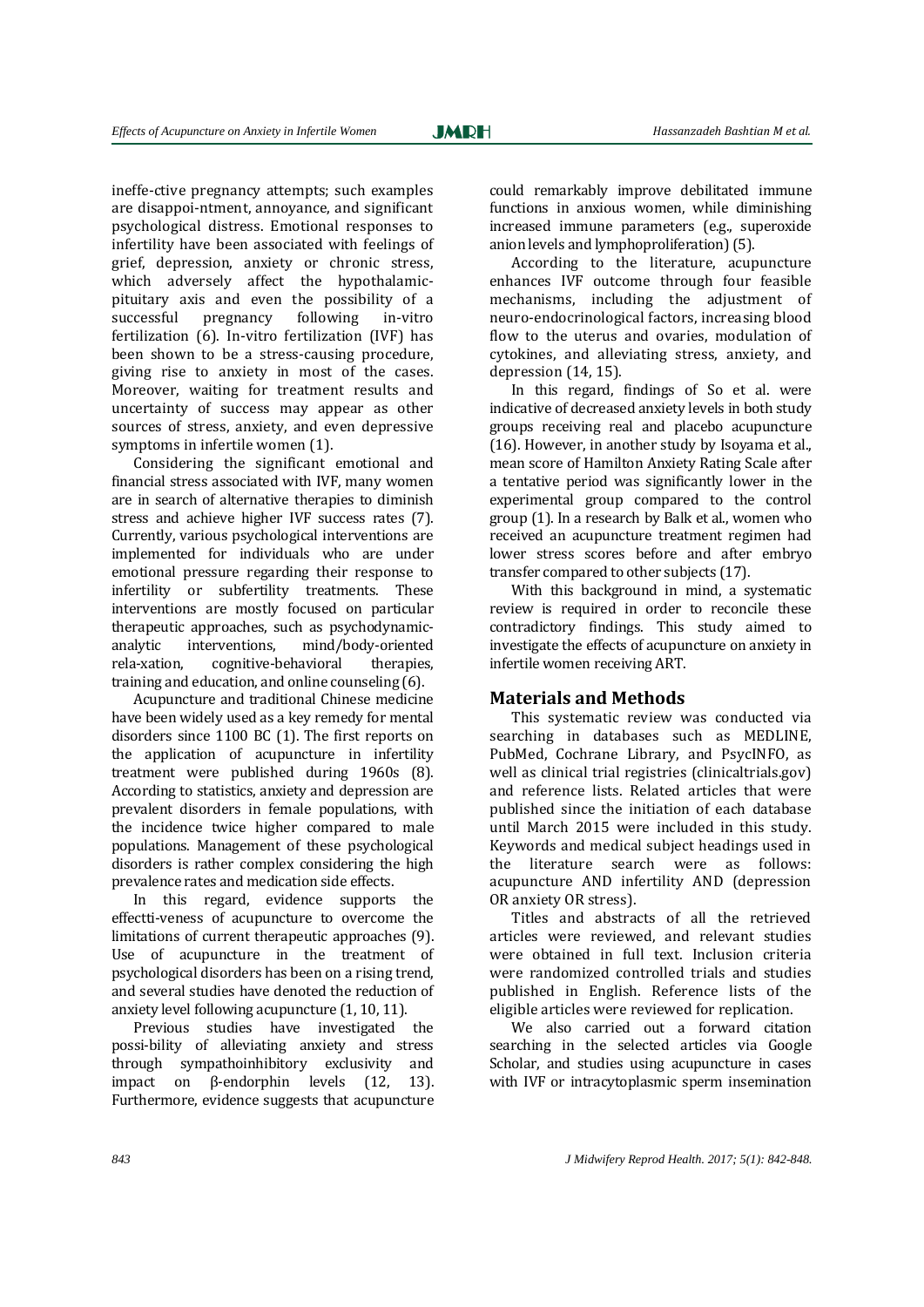ineffe-ctive pregnancy attempts; such examples are disappoi-ntment, annoyance, and significant psychological distress. Emotional responses to infertility have been associated with feelings of grief, depression, anxiety or chronic stress, which adversely affect the hypothalamicpituitary axis and even the possibility of a successful pregnancy following in-vitro fertilization [\(6\)](#page-5-2). In-vitro fertilization (IVF) has been shown to be a stress-causing procedure, giving rise to anxiety in most of the cases. Moreover, waiting for treatment results and uncertainty of success may appear as other sources of stress, anxiety, and even depressive symptoms in infertile women (1).

Considering the significant emotional and financial stress associated with IVF, many women are in search of alternative therapies to diminish stress and achieve higher IVF success rates [\(7\)](#page-5-3). Currently, various psychological interventions are implemented for individuals who are under emotional pressure regarding their response to infertility or subfertility treatments. These interventions are mostly focused on particular therapeutic approaches, such as psychodynamicanalytic interventions, mind/body-oriented rela-xation, cognitive-behavioral therapies, training and education, and online counseling [\(6\)](#page-5-2).

Acupuncture and traditional Chinese medicine have been widely used as a key remedy for mental disorders since 1100 BC (1). The first reports on the application of acupuncture in infertility treatment were published during 1960s [\(8\)](#page-5-4). According to statistics, anxiety and depression are prevalent disorders in female populations, with the incidence twice higher compared to male populations. Management of these psychological disorders is rather complex considering the high prevalence rates and medication side effects.

In this regard, evidence supports the effectti-veness of acupuncture to overcome the limitations of current therapeutic approaches [\(9\)](#page-5-5). Use of acupuncture in the treatment of psychological disorders has been on a rising trend, and several studies have denoted the reduction of anxiety level following acupuncture (1, 10, 11).

Previous studies have investigated the possi-bility of alleviating anxiety and stress through sympathoinhibitory exclusivity and impact on β-endorphin levels [\(12,](#page-5-6) 13). Furthermore, evidence suggests that acupuncture could remarkably improve debilitated immune functions in anxious women, while diminishing increased immune parameters (e.g., superoxide anion levels and lymphoproliferation) (5).

According to the literature, acupuncture enhances IVF outcome through four feasible mechanisms, including the adjustment of neuro-endocrinological factors, increasing blood flow to the uterus and ovaries, modulation of cytokines, and alleviating stress, anxiety, and depression (14, [15\)](#page-5-7).

In this regard, findings of So et al. were indicative of decreased anxiety levels in both study groups receiving real and placebo acupuncture (16). However, in another study by Isoyama et al., mean score of Hamilton Anxiety Rating Scale after a tentative period was significantly lower in the experimental group compared to the control group (1). In a research by Balk et al., women who received an acupuncture treatment regimen had lower stress scores before and after embryo transfer compared to other subjects [\(17\)](#page-5-8).

With this background in mind, a systematic review is required in order to reconcile these contradictory findings. This study aimed to investigate the effects of acupuncture on anxiety in infertile women receiving ART.

## **Materials and Methods**

This systematic review was conducted via searching in databases such as MEDLINE, PubMed, Cochrane Library, and PsycINFO, as well as clinical trial registries (clinicaltrials.gov) and reference lists. Related articles that were published since the initiation of each database until March 2015 were included in this study. Keywords and medical subject headings used in the literature search were as follows: acupuncture AND infertility AND (depression OR anxiety OR stress).

Titles and abstracts of all the retrieved articles were reviewed, and relevant studies were obtained in full text. Inclusion criteria were randomized controlled trials and studies published in English. Reference lists of the eligible articles were reviewed for replication.

We also carried out a forward citation searching in the selected articles via Google Scholar, and studies using acupuncture in cases with IVF or intracytoplasmic sperm insemination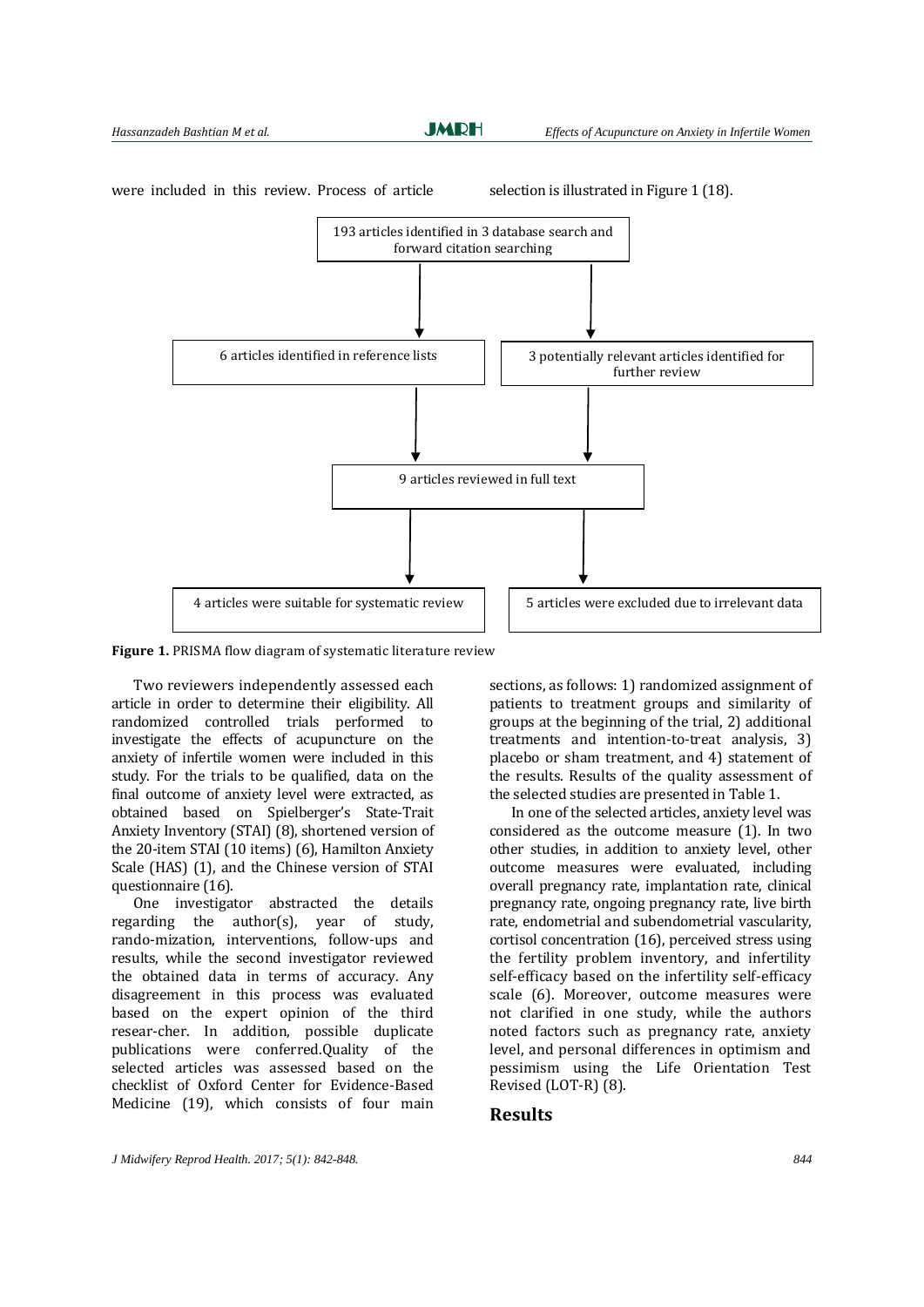**JMDH** 



were included in this review. Process of article selection is illustrated in Figure 1 (18).

Figure 1. PRISMA flow diagram of systematic literature review

Two reviewers independently assessed each article in order to determine their eligibility. All randomized controlled trials performed to investigate the effects of acupuncture on the anxiety of infertile women were included in this study. For the trials to be qualified, data on the final outcome of anxiety level were extracted, as obtained based on Spielberger's State-Trait Anxiety Inventory (STAI) [\(8\)](#page-5-4), shortened version of the 20-item STAI (10 items) [\(6\)](#page-5-2), Hamilton Anxiety Scale (HAS) (1), and the Chinese version of STAI questionnaire (16).

One investigator abstracted the details regarding the author(s), year of study, rando-mization, interventions, follow-ups and results, while the second investigator reviewed the obtained data in terms of accuracy. Any disagreement in this process was evaluated based on the expert opinion of the third resear-cher. In addition, possible duplicate publications were conferred.Quality of the selected articles was assessed based on the checklist of Oxford Center for Evidence-Based Medicine (19), which consists of four main

sections, as follows: 1) randomized assignment of patients to treatment groups and similarity of groups at the beginning of the trial, 2) additional treatments and intention-to-treat analysis, 3) placebo or sham treatment, and 4) statement of the results. Results of the quality assessment of the selected studies are presented in Table 1.

In one of the selected articles, anxiety level was considered as the outcome measure (1). In two other studies, in addition to anxiety level, other outcome measures were evaluated, including overall pregnancy rate, implantation rate, clinical pregnancy rate, ongoing pregnancy rate, live birth rate, endometrial and subendometrial vascularity, cortisol concentration (16), perceived stress using the fertility problem inventory, and infertility self-efficacy based on the infertility self-efficacy scale [\(6\)](#page-5-2). Moreover, outcome measures were not clarified in one study, while the authors noted factors such as pregnancy rate, anxiety level, and personal differences in optimism and pessimism using the Life Orientation Test Revised (LOT-R) [\(8\)](#page-5-4).

### **Results**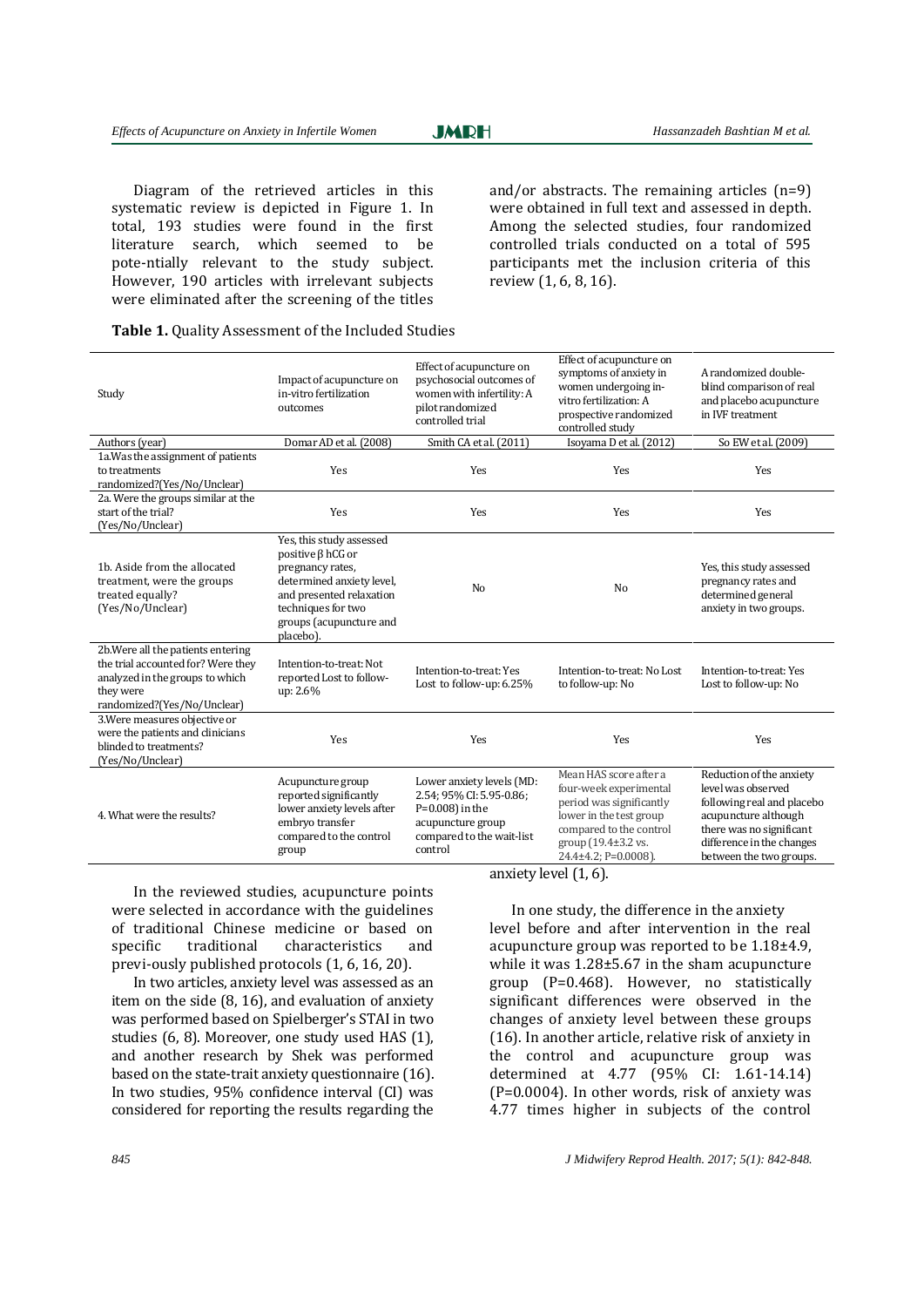**JMDH** 

Diagram of the retrieved articles in this systematic review is depicted in Figure 1. In total, 193 studies were found in the first literature search, which seemed to be pote-ntially relevant to the study subject. However, 190 articles with irrelevant subjects were eliminated after the screening of the titles and/or abstracts. The remaining articles (n=9) were obtained in full text and assessed in depth. Among the selected studies, four randomized controlled trials conducted on a total of 595 participants met the inclusion criteria of this review (1, [6,](#page-5-2) [8,](#page-5-4) 16).

#### Table 1. Quality Assessment of the Included Studies

| Study                                                                                                                                                   | Impact of acupuncture on<br>in-vitro fertilization<br>outcomes                                                                                                                                 | Effect of acupuncture on<br>psychosocial outcomes of<br>women with infertility: A<br>pilot randomized<br>controlled trial                | Effect of acupuncture on<br>symptoms of anxiety in<br>women undergoing in-<br>vitro fertilization: A<br>prospective randomized<br>controlled study                                | A randomized double-<br>blind comparison of real<br>and placebo acupuncture<br>in IVF treatment                                                                                          |
|---------------------------------------------------------------------------------------------------------------------------------------------------------|------------------------------------------------------------------------------------------------------------------------------------------------------------------------------------------------|------------------------------------------------------------------------------------------------------------------------------------------|-----------------------------------------------------------------------------------------------------------------------------------------------------------------------------------|------------------------------------------------------------------------------------------------------------------------------------------------------------------------------------------|
| Authors (year)                                                                                                                                          | Domar AD et al. (2008)                                                                                                                                                                         | Smith CA et al. (2011)                                                                                                                   | Isoyama D et al. (2012)                                                                                                                                                           | So EW et al. (2009)                                                                                                                                                                      |
| 1a. Was the assignment of patients<br>to treatments<br>randomized?(Yes/No/Unclear)                                                                      | Yes                                                                                                                                                                                            | Yes                                                                                                                                      | Yes                                                                                                                                                                               | Yes                                                                                                                                                                                      |
| 2a. Were the groups similar at the<br>start of the trial?<br>(Yes/No/Unclear)                                                                           | <b>Yes</b>                                                                                                                                                                                     | Yes                                                                                                                                      | Yes                                                                                                                                                                               | Yes                                                                                                                                                                                      |
| 1b. Aside from the allocated<br>treatment, were the groups<br>treated equally?<br>(Yes/No/Unclear)                                                      | Yes, this study assessed<br>positive $\beta$ hCG or<br>pregnancy rates,<br>determined anxiety level,<br>and presented relaxation<br>techniques for two<br>groups (acupuncture and<br>placebo). | N <sub>o</sub>                                                                                                                           | N <sub>o</sub>                                                                                                                                                                    | Yes, this study assessed<br>pregnancy rates and<br>determined general<br>anxiety in two groups.                                                                                          |
| 2b. Were all the patients entering<br>the trial accounted for? Were they<br>analyzed in the groups to which<br>they were<br>randomized?(Yes/No/Unclear) | Intention-to-treat: Not<br>reported Lost to follow-<br>up: 2.6%                                                                                                                                | Intention-to-treat: Yes<br>Lost to follow-up: 6.25%                                                                                      | Intention-to-treat: No Lost<br>to follow-up: No                                                                                                                                   | Intention-to-treat: Yes<br>Lost to follow-up: No                                                                                                                                         |
| 3. Were measures objective or<br>were the patients and clinicians<br>blinded to treatments?<br>(Yes/No/Unclear)                                         | Yes                                                                                                                                                                                            | Yes                                                                                                                                      | Yes                                                                                                                                                                               | Yes                                                                                                                                                                                      |
| 4. What were the results?                                                                                                                               | Acupuncture group<br>reported significantly<br>lower anxiety levels after<br>embryo transfer<br>compared to the control<br>group                                                               | Lower anxiety levels (MD:<br>2.54; 95% CI: 5.95-0.86;<br>$P=0.008$ ) in the<br>acupuncture group<br>compared to the wait-list<br>control | Mean HAS score after a<br>four-week experimental<br>period was significantly<br>lower in the test group<br>compared to the control<br>group (19.4±3.2 vs.<br>24.4±4.2; P=0.0008). | Reduction of the anxiety<br>level was observed<br>following real and placebo<br>acupuncture although<br>there was no significant<br>difference in the changes<br>between the two groups. |

In the reviewed studies, acupuncture points were selected in accordance with the guidelines of traditional Chinese medicine or based on specific traditional characteristics and previ-ously published protocols (1[, 6,](#page-5-2) 16[, 20\)](#page-5-9).

In two articles, anxiety level was assessed as an item on the side [\(8,](#page-5-4) 16), and evaluation of anxiety was performed based on Spielberger's STAI in two studies [\(6,](#page-5-2) [8\)](#page-5-4). Moreover, one study used HAS (1), and another research by Shek was performed based on the state-trait anxiety questionnaire (16). In two studies, 95% confidence interval (CI) was considered for reporting the results regarding the

anxiety level (1[, 6\)](#page-5-2).

In one study, the difference in the anxiety level before and after intervention in the real acupuncture group was reported to be 1.18±4.9, while it was 1.28±5.67 in the sham acupuncture group (P=0.468). However, no statistically significant differences were observed in the changes of anxiety level between these groups (16). In another article, relative risk of anxiety in the control and acupuncture group was determined at 4.77 (95% CI: 1.61-14.14) (P=0.0004). In other words, risk of anxiety was 4.77 times higher in subjects of the control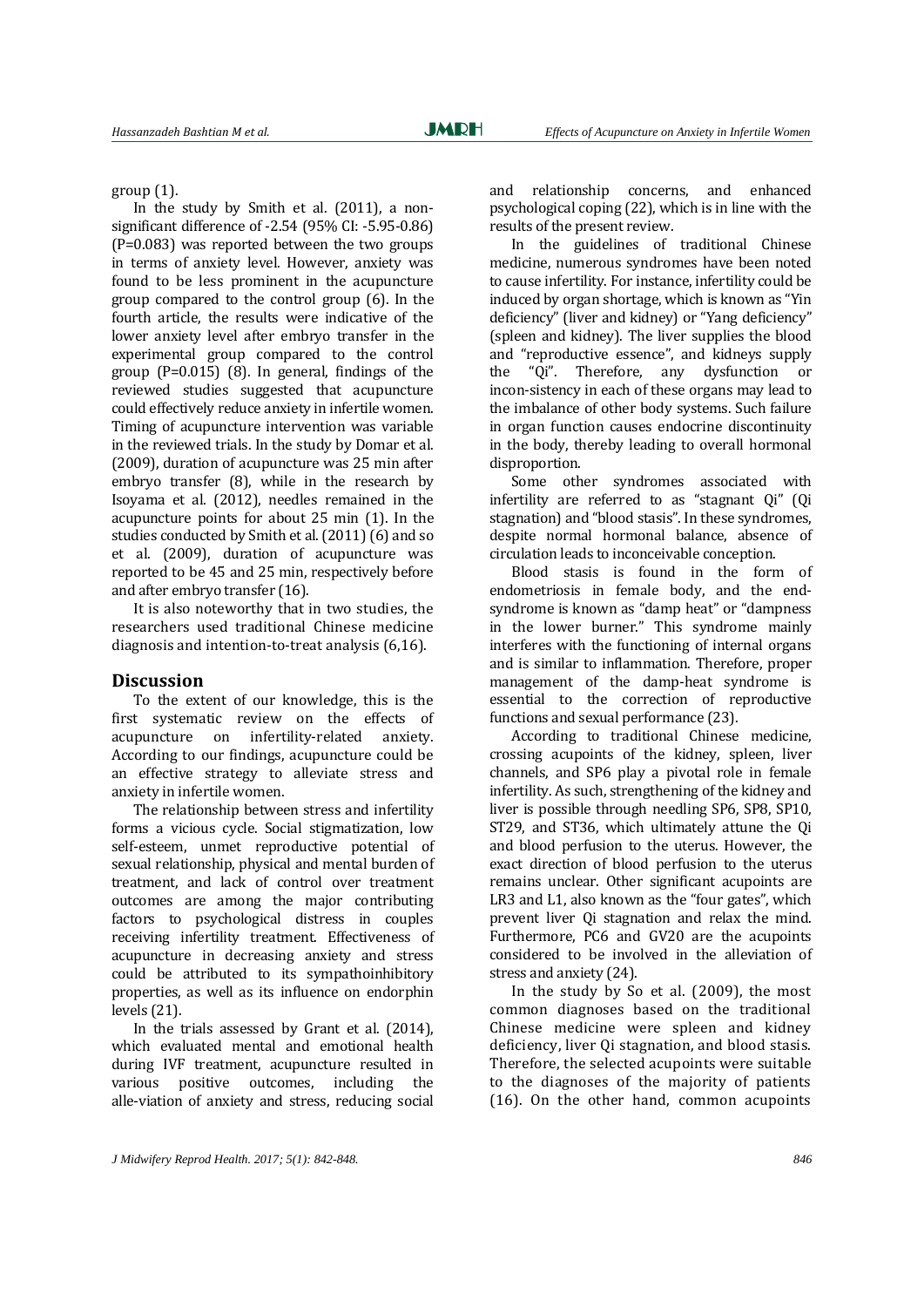group (1).

In the study by Smith et al. (2011), a nonsignificant difference of -2.54 (95% CI: -5.95-0.86) (P=0.083) was reported between the two groups in terms of anxiety level. However, anxiety was found to be less prominent in the acupuncture group compared to the control group [\(6\)](#page-5-2). In the fourth article, the results were indicative of the lower anxiety level after embryo transfer in the experimental group compared to the control group (P=0.015) [\(8\)](#page-5-4). In general, findings of the reviewed studies suggested that acupuncture could effectively reduce anxiety in infertile women. Timing of acupuncture intervention was variable in the reviewed trials. In the study by Domar et al. (2009), duration of acupuncture was 25 min after embryo transfer [\(8\)](#page-5-4), while in the research by Isoyama et al. (2012), needles remained in the acupuncture points for about 25 min (1). In the studies conducted by Smith et al. (2011) [\(6\)](#page-5-2) and so et al. (2009), duration of acupuncture was reported to be 45 and 25 min, respectively before and after embryo transfer (16).

It is also noteworthy that in two studies, the researchers used traditional Chinese medicine diagnosis and intention‐to‐treat analysis [\(6,1](#page-5-2)6).

#### **Discussion**

To the extent of our knowledge, this is the first systematic review on the effects of acupuncture on infertility-related anxiety. According to our findings, acupuncture could be an effective strategy to alleviate stress and anxiety in infertile women.

The relationship between stress and infertility forms a vicious cycle. Social stigmatization, low self-esteem, unmet reproductive potential of sexual relationship, physical and mental burden of treatment, and lack of control over treatment outcomes are among the major contributing factors to psychological distress in couples receiving infertility treatment. Effectiveness of acupuncture in decreasing anxiety and stress could be attributed to its sympathoinhibitory properties, as well as its influence on endorphin levels (21).

In the trials assessed by Grant et al. (2014), which evaluated mental and emotional health during IVF treatment, acupuncture resulted in various positive outcomes, including the alle-viation of anxiety and stress, reducing social and relationship concerns, and enhanced psychological coping [\(22\)](#page-6-0), which is in line with the results of the present review.

In the guidelines of traditional Chinese medicine, numerous syndromes have been noted to cause infertility. For instance, infertility could be induced by organ shortage, which is known as "Yin deficiency" (liver and kidney) or "Yang deficiency" (spleen and kidney). The liver supplies the blood and "reproductive essence", and kidneys supply the "Qi". Therefore, any dysfunction or incon-sistency in each of these organs may lead to the imbalance of other body systems. Such failure in organ function causes endocrine discontinuity in the body, thereby leading to overall hormonal disproportion.

Some other syndromes associated with infertility are referred to as "stagnant Qi" (Qi stagnation) and "blood stasis". In these syndromes, despite normal hormonal balance, absence of circulation leads to inconceivable conception.

Blood stasis is found in the form of endometriosis in female body, and the endsyndrome is known as "damp heat" or "dampness in the lower burner." This syndrome mainly interferes with the functioning of internal organs and is similar to inflammation. Therefore, proper management of the damp-heat syndrome is essential to the correction of reproductive functions and sexual performance [\(23\)](#page-6-1).

According to traditional Chinese medicine, crossing acupoints of the kidney, spleen, liver channels, and SP6 play a pivotal role in female infertility. As such, strengthening of the kidney and liver is possible through needling SP6, SP8, SP10, ST29, and ST36, which ultimately attune the Qi and blood perfusion to the uterus. However, the exact direction of blood perfusion to the uterus remains unclear. Other significant acupoints are LR3 and L1, also known as the "four gates", which prevent liver Qi stagnation and relax the mind. Furthermore, PC6 and GV20 are the acupoints considered to be involved in the alleviation of stress and anxiety (24).

In the study by So et al. (2009), the most common diagnoses based on the traditional Chinese medicine were spleen and kidney deficiency, liver Qi stagnation, and blood stasis. Therefore, the selected acupoints were suitable to the diagnoses of the majority of patients (16). On the other hand, common acupoints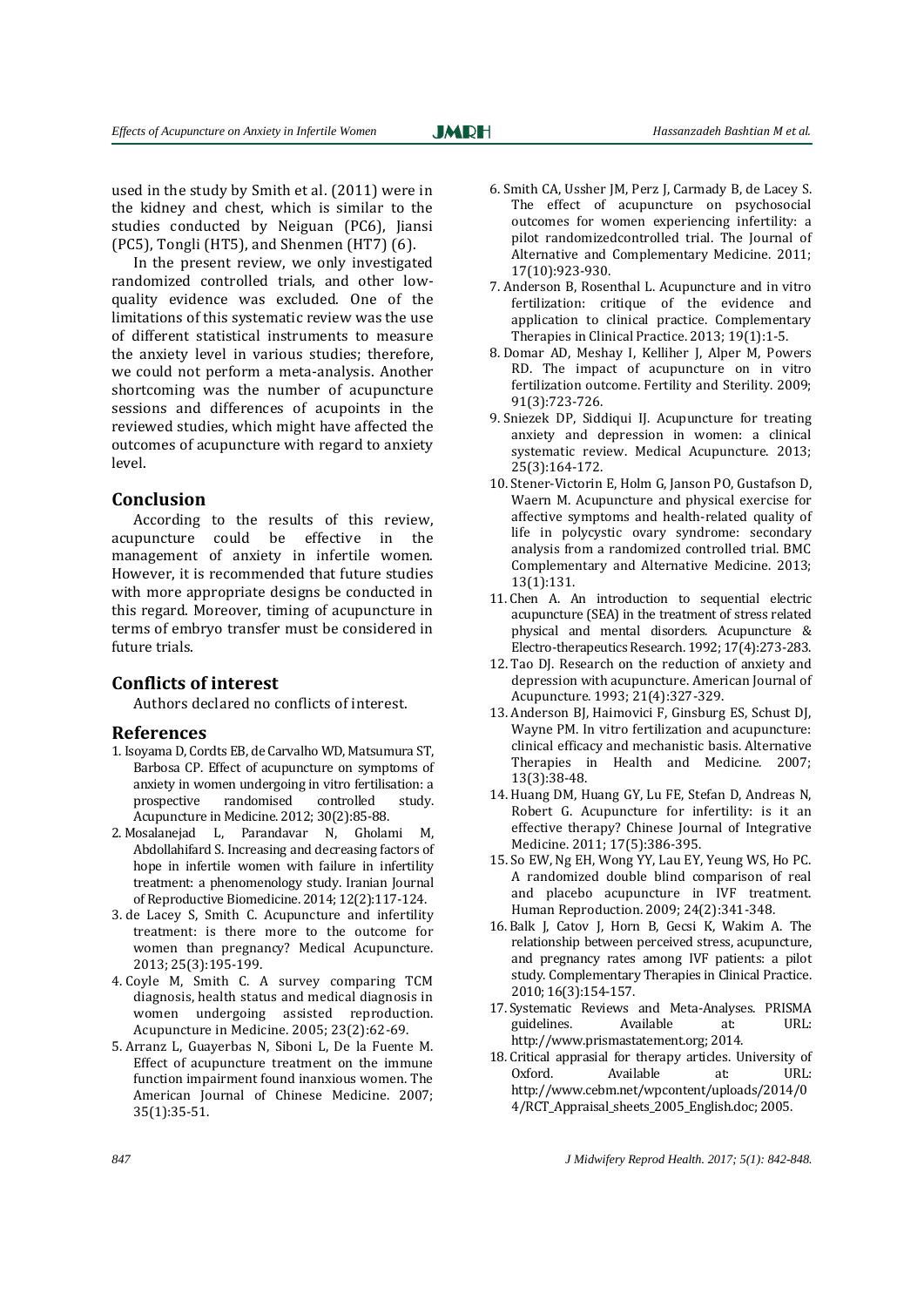used in the study by Smith et al. (2011) were in the kidney and chest, which is similar to the studies conducted by Neiguan (PC6), Jiansi (PC5), Tongli (HT5), and Shenmen (HT7) [\(6\)](#page-5-2).

In the present review, we only investigated randomized controlled trials, and other lowquality evidence was excluded. One of the limitations of this systematic review was the use of different statistical instruments to measure the anxiety level in various studies; therefore, we could not perform a meta-analysis. Another shortcoming was the number of acupuncture sessions and differences of acupoints in the reviewed studies, which might have affected the outcomes of acupuncture with regard to anxiety level.

# **Conclusion**

According to the results of this review, acupuncture could be effective in the management of anxiety in infertile women. However, it is recommended that future studies with more appropriate designs be conducted in this regard. Moreover, timing of acupuncture in terms of embryo transfer must be considered in future trials.

#### **Conflicts of interest**

Authors declared no conflicts of interest.

#### **References**

- <span id="page-5-0"></span>1. Isoyama D, Cordts EB, de Carvalho WD, Matsumura ST, Barbosa CP. Effect of acupuncture on symptoms of anxiety in women undergoing in vitro fertilisation: a prospective randomised controlled study. Acupuncture in Medicine. 2012; 30(2):85-88.
- 2. Mosalanejad L, Parandavar N, Gholami M, Abdollahifard S. Increasing and decreasing factors of hope in infertile women with failure in infertility treatment: a phenomenology study. Iranian Journal of Reproductive Biomedicine. 2014; 12(2):117-124.
- <span id="page-5-1"></span>3. de Lacey S, Smith C. Acupuncture and infertility treatment: is there more to the outcome for women than pregnancy? Medical Acupuncture. 2013; 25(3):195-199.
- <span id="page-5-2"></span>4. Coyle M, Smith C. A survey comparing TCM diagnosis, health status and medical diagnosis in women undergoing assisted reproduction. Acupuncture in Medicine. 2005; 23(2):62-69.
- 5. Arranz L, Guayerbas N, Siboni L, De la Fuente M. Effect of acupuncture treatment on the immune function impairment found inanxious women. The American Journal of Chinese Medicine. 2007; 35(1):35-51.
- <span id="page-5-3"></span>6. Smith CA, Ussher JM, Perz J, Carmady B, de Lacey S. The effect of acupuncture on psychosocial outcomes for women experiencing infertility: a pilot randomizedcontrolled trial. The Journal of Alternative and Complementary Medicine. 2011; 17(10):923-930.
- <span id="page-5-4"></span>7. Anderson B, Rosenthal L. Acupuncture and in vitro fertilization: critique of the evidence and application to clinical practice. Complementary Therapies in Clinical Practice. 2013; 19(1):1-5.
- <span id="page-5-5"></span>8. Domar AD, Meshay I, Kelliher J, Alper M, Powers RD. The impact of acupuncture on in vitro fertilization outcome. Fertility and Sterility. 2009; 91(3):723-726.
- 9. Sniezek DP, Siddiqui IJ. Acupuncture for treating anxiety and depression in women: a clinical systematic review. Medical Acupuncture. 2013; 25(3):164-172.
- <span id="page-5-6"></span>10. Stener-Victorin E, Holm G, Janson PO, Gustafson D, Waern M. Acupuncture and physical exercise for affective symptoms and health-related quality of life in polycystic ovary syndrome: secondary analysis from a randomized controlled trial. BMC Complementary and Alternative Medicine. 2013; 13(1):131.
- 11. Chen A. An introduction to sequential electric acupuncture (SEA) in the treatment of stress related physical and mental disorders. Acupuncture & Electro-therapeutics Research. 1992; 17(4):273-283.
- 12. Tao DJ. Research on the reduction of anxiety and depression with acupuncture. American Journal of Acupuncture. 1993; 21(4):327-329.
- <span id="page-5-7"></span>13. Anderson BJ, Haimovici F, Ginsburg ES, Schust DJ, Wayne PM. In vitro fertilization and acupuncture: clinical efficacy and mechanistic basis. Alternative Therapies in Health and Medicine. 2007; 13(3):38-48.
- <span id="page-5-8"></span>14. Huang DM, Huang GY, Lu FE, Stefan D, Andreas N, Robert G. Acupuncture for infertility: is it an effective therapy? Chinese Journal of Integrative Medicine. 2011; 17(5):386-395.
- 15. So EW, Ng EH, Wong YY, Lau EY, Yeung WS, Ho PC. A randomized double blind comparison of real and placebo acupuncture in IVF treatment. Human Reproduction. 2009; 24(2):341-348.
- 16. Balk J, Catov J, Horn B, Gecsi K, Wakim A. The relationship between perceived stress, acupuncture, and pregnancy rates among IVF patients: a pilot study. Complementary Therapies in Clinical Practice. 2010; 16(3):154-157.
- 17. Systematic Reviews and Meta-Analyses. PRISMA guidelines. Available at: URL: http://www.prismastatement.org; 2014.
- <span id="page-5-9"></span>18. Critical apprasial for therapy articles. University of Oxford. Available at: URL: http://www.cebm.net/wpcontent/uploads/2014/0 4/RCT\_Appraisal\_sheets\_2005\_English.doc; 2005.

*847 J Midwifery Reprod Health. 2017; 5(1): 842-848.*